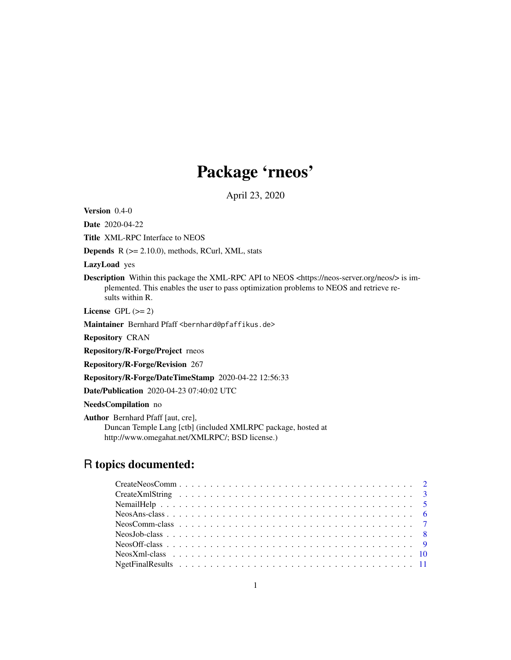# Package 'rneos'

April 23, 2020

<span id="page-0-0"></span>Version 0.4-0

Date 2020-04-22

Title XML-RPC Interface to NEOS

**Depends**  $R$  ( $>= 2.10.0$ ), methods, RCurl, XML, stats

LazyLoad yes

Description Within this package the XML-RPC API to NEOS <https://neos-server.org/neos/> is implemented. This enables the user to pass optimization problems to NEOS and retrieve results within R.

License GPL  $(>= 2)$ 

Maintainer Bernhard Pfaff <bernhard@pfaffikus.de>

Repository CRAN

Repository/R-Forge/Project rneos

Repository/R-Forge/Revision 267

Repository/R-Forge/DateTimeStamp 2020-04-22 12:56:33

Date/Publication 2020-04-23 07:40:02 UTC

NeedsCompilation no

Author Bernhard Pfaff [aut, cre], Duncan Temple Lang [ctb] (included XMLRPC package, hosted at http://www.omegahat.net/XMLRPC/; BSD license.)

## R topics documented: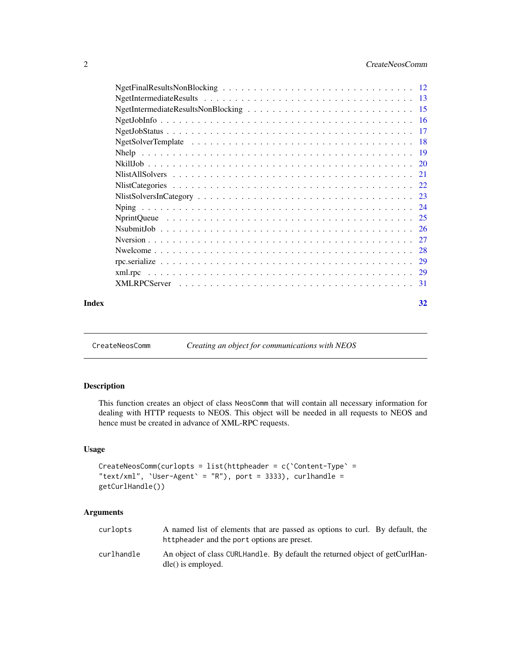<span id="page-1-0"></span>

| Index | 32 |
|-------|----|

<span id="page-1-1"></span>

CreateNeosComm *Creating an object for communications with NEOS*

### Description

This function creates an object of class NeosComm that will contain all necessary information for dealing with HTTP requests to NEOS. This object will be needed in all requests to NEOS and hence must be created in advance of XML-RPC requests.

### Usage

```
CreateNeosComm(curlopts = list(httpheader = c(`Content-Type` =
"text/xml", 'User-Agent' = "R"), port = 3333), curlhandle =
getCurlHandle())
```
#### Arguments

| curlopts   | A named list of elements that are passed as options to curl. By default, the<br>httpheader and the port options are preset. |
|------------|-----------------------------------------------------------------------------------------------------------------------------|
| curlhandle | An object of class CURLHandle. By default the returned object of getCurlHan-<br>$d$ le() is employed.                       |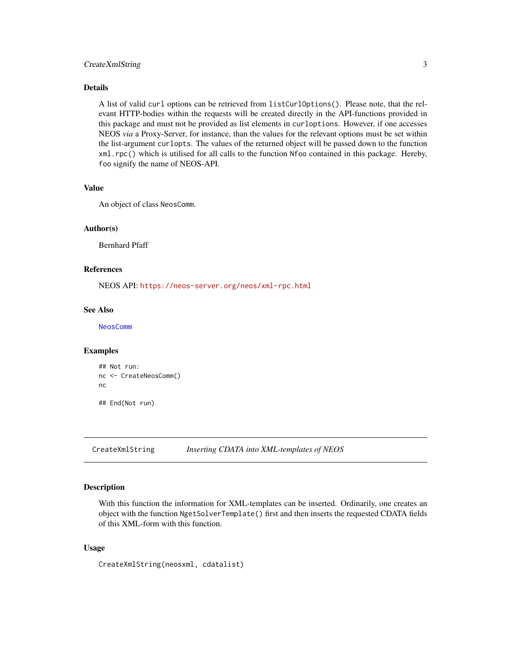### <span id="page-2-0"></span>CreateXmlString 3

#### Details

A list of valid curl options can be retrieved from listCurlOptions(). Please note, that the relevant HTTP-bodies within the requests will be created directly in the API-functions provided in this package and must not be provided as list elements in curloptions. However, if one accesses NEOS *via* a Proxy-Server, for instance, than the values for the relevant options must be set within the list-argument curlopts. The values of the returned object will be passed down to the function xml.rpc() which is utilised for all calls to the function Nfoo contained in this package. Hereby, foo signify the name of NEOS-API.

### Value

An object of class NeosComm.

#### Author(s)

Bernhard Pfaff

### References

NEOS API: <https://neos-server.org/neos/xml-rpc.html>

#### See Also

[NeosComm](#page-6-1)

#### Examples

```
## Not run:
nc <- CreateNeosComm()
nc
## End(Not run)
```
<span id="page-2-1"></span>CreateXmlString *Inserting CDATA into XML-templates of NEOS*

#### Description

With this function the information for XML-templates can be inserted. Ordinarily, one creates an object with the function NgetSolverTemplate() first and then inserts the requested CDATA fields of this XML-form with this function.

#### Usage

CreateXmlString(neosxml, cdatalist)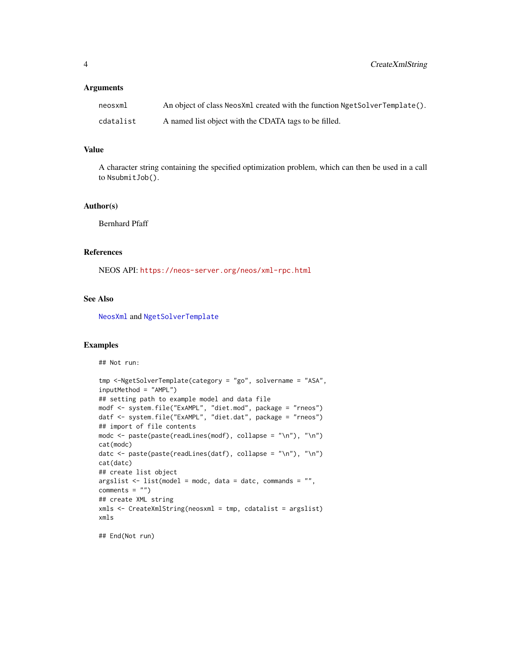#### <span id="page-3-0"></span>Arguments

| neosxml   | An object of class NeosXml created with the function NgetSolverTemplate(). |
|-----------|----------------------------------------------------------------------------|
| cdatalist | A named list object with the CDATA tags to be filled.                      |

#### Value

A character string containing the specified optimization problem, which can then be used in a call to NsubmitJob().

### Author(s)

Bernhard Pfaff

## References

NEOS API: <https://neos-server.org/neos/xml-rpc.html>

### See Also

[NeosXml](#page-9-1) and [NgetSolverTemplate](#page-17-1)

#### Examples

```
## Not run:
```

```
tmp <-NgetSolverTemplate(category = "go", solvername = "ASA",
inputMethod = "AMPL")
## setting path to example model and data file
modf <- system.file("ExAMPL", "diet.mod", package = "rneos")
datf <- system.file("ExAMPL", "diet.dat", package = "rneos")
## import of file contents
modc <- paste(paste(readLines(modf), collapse = "\n"), "\n")
cat(modc)
datc <- paste(paste(readLines(datf), collapse = "\n"), "\n")
cat(datc)
## create list object
argslist \leftarrow list(model = mode, data = date, commands = "",comments = "")## create XML string
xmls <- CreateXmlString(neosxml = tmp, cdatalist = argslist)
xmls
```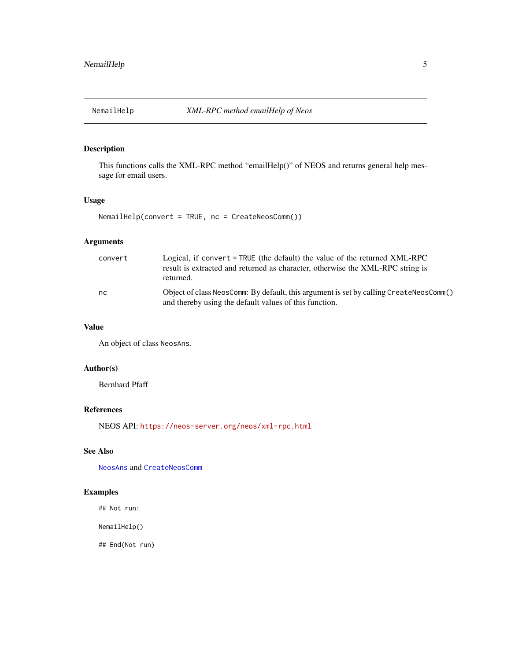<span id="page-4-0"></span>

This functions calls the XML-RPC method "emailHelp()" of NEOS and returns general help message for email users.

### Usage

NemailHelp(convert = TRUE, nc = CreateNeosComm())

### Arguments

| convert | Logical, if convert $=$ TRUE (the default) the value of the returned XML-RPC<br>result is extracted and returned as character, otherwise the XML-RPC string is<br>returned. |
|---------|-----------------------------------------------------------------------------------------------------------------------------------------------------------------------------|
| nc.     | Object of class NeosComm: By default, this argument is set by calling CreateNeosComm()<br>and thereby using the default values of this function.                            |

#### Value

An object of class NeosAns.

### Author(s)

Bernhard Pfaff

### References

NEOS API: <https://neos-server.org/neos/xml-rpc.html>

### See Also

[NeosAns](#page-5-1) and [CreateNeosComm](#page-1-1)

### Examples

## Not run:

NemailHelp()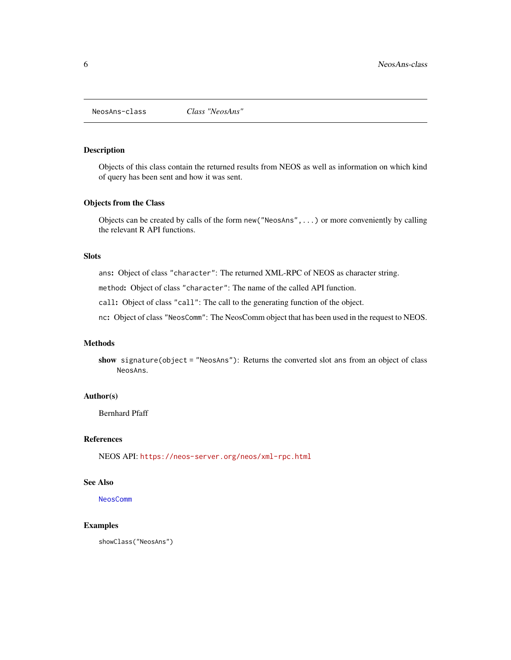<span id="page-5-1"></span><span id="page-5-0"></span>NeosAns-class *Class "NeosAns"*

#### Description

Objects of this class contain the returned results from NEOS as well as information on which kind of query has been sent and how it was sent.

#### Objects from the Class

Objects can be created by calls of the form new("NeosAns",...) or more conveniently by calling the relevant R API functions.

### Slots

ans: Object of class "character": The returned XML-RPC of NEOS as character string.

method: Object of class "character": The name of the called API function.

call: Object of class "call": The call to the generating function of the object.

nc: Object of class "NeosComm": The NeosComm object that has been used in the request to NEOS.

### Methods

show signature(object = "NeosAns"): Returns the converted slot ans from an object of class NeosAns.

#### Author(s)

Bernhard Pfaff

### References

NEOS API: <https://neos-server.org/neos/xml-rpc.html>

### See Also

[NeosComm](#page-6-1)

#### Examples

showClass("NeosAns")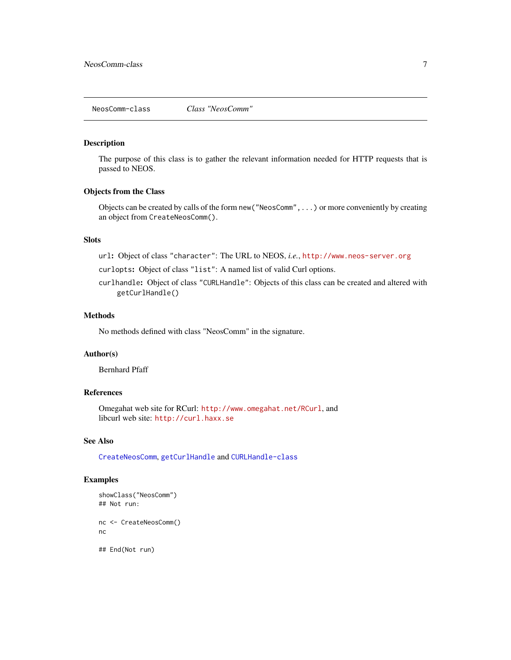<span id="page-6-1"></span><span id="page-6-0"></span>The purpose of this class is to gather the relevant information needed for HTTP requests that is passed to NEOS.

### Objects from the Class

Objects can be created by calls of the form new("NeosComm",...) or more conveniently by creating an object from CreateNeosComm().

### **Slots**

url: Object of class "character": The URL to NEOS, *i.e.*, <http://www.neos-server.org>

curlopts: Object of class "list": A named list of valid Curl options.

curlhandle: Object of class "CURLHandle": Objects of this class can be created and altered with getCurlHandle()

### Methods

No methods defined with class "NeosComm" in the signature.

### Author(s)

Bernhard Pfaff

### References

Omegahat web site for RCurl: <http://www.omegahat.net/RCurl>, and libcurl web site: <http://curl.haxx.se>

### See Also

[CreateNeosComm](#page-1-1), [getCurlHandle](#page-0-0) and [CURLHandle-class](#page-0-0)

### Examples

```
showClass("NeosComm")
## Not run:
nc <- CreateNeosComm()
nc
## End(Not run)
```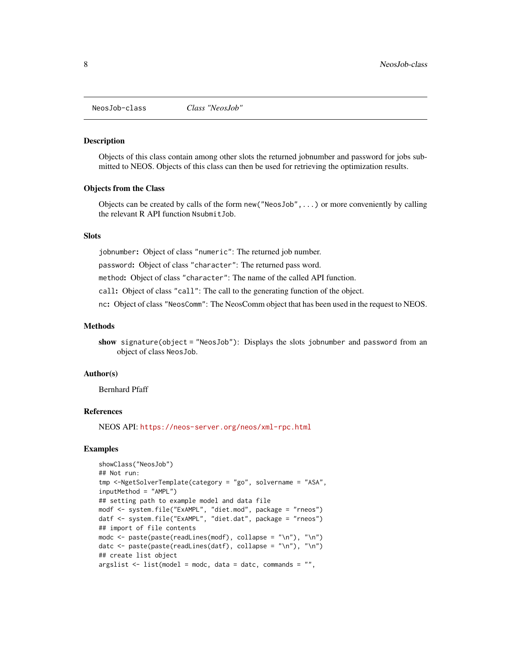<span id="page-7-1"></span><span id="page-7-0"></span>

Objects of this class contain among other slots the returned jobnumber and password for jobs submitted to NEOS. Objects of this class can then be used for retrieving the optimization results.

#### Objects from the Class

Objects can be created by calls of the form new("NeosJob",...) or more conveniently by calling the relevant R API function NsubmitJob.

### **Slots**

jobnumber: Object of class "numeric": The returned job number.

password: Object of class "character": The returned pass word.

method: Object of class "character": The name of the called API function.

call: Object of class "call": The call to the generating function of the object.

nc: Object of class "NeosComm": The NeosComm object that has been used in the request to NEOS.

#### Methods

show signature(object = "NeosJob"): Displays the slots jobnumber and password from an object of class NeosJob.

#### Author(s)

Bernhard Pfaff

### References

NEOS API: <https://neos-server.org/neos/xml-rpc.html>

#### Examples

```
showClass("NeosJob")
## Not run:
tmp <-NgetSolverTemplate(category = "go", solvername = "ASA",
inputMethod = "AMPL")
## setting path to example model and data file
modf <- system.file("ExAMPL", "diet.mod", package = "rneos")
datf <- system.file("ExAMPL", "diet.dat", package = "rneos")
## import of file contents
modc <- paste(paste(readLines(modf), collapse = "\n"), "\n")
datc <- paste(paste(readLines(datf), collapse = "\n"), "\n")
## create list object
argslist \leftarrow list(model = mode, data = date, commands = "",
```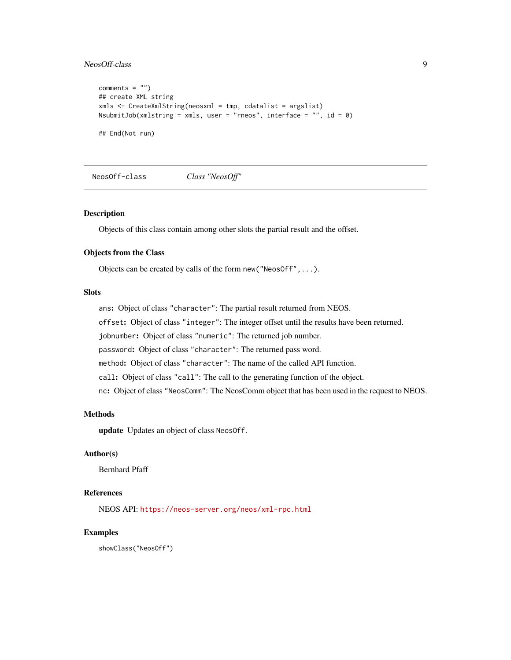### <span id="page-8-0"></span>NeosOff-class 9

```
comments = ")
## create XML string
xmls <- CreateXmlString(neosxml = tmp, cdatalist = argslist)
NsubmitJob(xmlstring = xmls, user = "rneos", interface = "", id = \theta)
## End(Not run)
```
<span id="page-8-1"></span>NeosOff-class *Class "NeosOff"*

#### Description

Objects of this class contain among other slots the partial result and the offset.

#### Objects from the Class

Objects can be created by calls of the form new("NeosOff",...).

#### Slots

ans: Object of class "character": The partial result returned from NEOS.

offset: Object of class "integer": The integer offset until the results have been returned.

jobnumber: Object of class "numeric": The returned job number.

password: Object of class "character": The returned pass word.

method: Object of class "character": The name of the called API function.

call: Object of class "call": The call to the generating function of the object.

nc: Object of class "NeosComm": The NeosComm object that has been used in the request to NEOS.

#### Methods

update Updates an object of class NeosOff.

### Author(s)

Bernhard Pfaff

#### References

NEOS API: <https://neos-server.org/neos/xml-rpc.html>

#### Examples

showClass("NeosOff")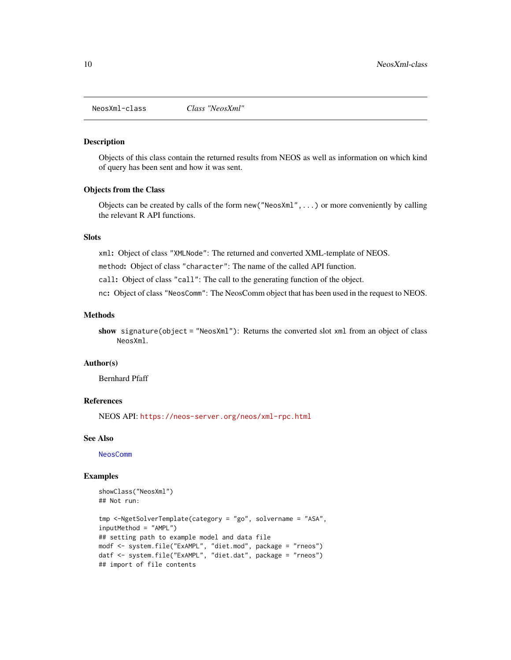<span id="page-9-1"></span><span id="page-9-0"></span>

Objects of this class contain the returned results from NEOS as well as information on which kind of query has been sent and how it was sent.

#### Objects from the Class

Objects can be created by calls of the form new("NeosXml",...) or more conveniently by calling the relevant R API functions.

#### Slots

xml: Object of class "XMLNode": The returned and converted XML-template of NEOS.

method: Object of class "character": The name of the called API function.

call: Object of class "call": The call to the generating function of the object.

nc: Object of class "NeosComm": The NeosComm object that has been used in the request to NEOS.

### Methods

show signature(object = "NeosXml"): Returns the converted slot xml from an object of class NeosXml.

#### Author(s)

Bernhard Pfaff

#### References

NEOS API: <https://neos-server.org/neos/xml-rpc.html>

#### See Also

[NeosComm](#page-6-1)

#### Examples

```
showClass("NeosXml")
## Not run:
```

```
tmp <-NgetSolverTemplate(category = "go", solvername = "ASA",
inputMethod = "AMPL")
## setting path to example model and data file
modf <- system.file("ExAMPL", "diet.mod", package = "rneos")
datf <- system.file("ExAMPL", "diet.dat", package = "rneos")
## import of file contents
```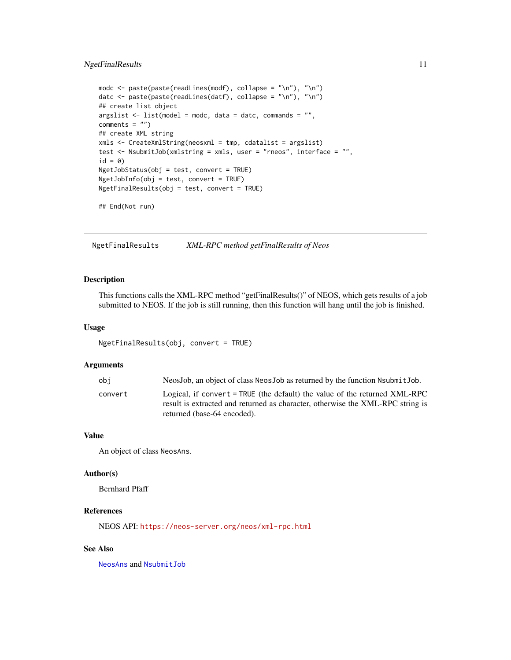### <span id="page-10-0"></span>NgetFinalResults 11

```
modc <- paste(paste(readLines(modf), collapse = "\n"), "\n")
datc <- paste(paste(readLines(datf), collapse = "\n"), "\n")
## create list object
argslist \leq list(model = modc, data = datc, commands = "",
comments = "")## create XML string
xmls <- CreateXmlString(neosxml = tmp, cdatalist = argslist)
test <- NsubmitJob(xmlstring = xmls, user = "rneos", interface = "",
id = 0NgetJobStatus(obj = test, convert = TRUE)
NgetJobInfo(obj = test, convert = TRUE)
NgetFinalResults(obj = test, convert = TRUE)
```
## End(Not run)

NgetFinalResults *XML-RPC method getFinalResults of Neos*

### Description

This functions calls the XML-RPC method "getFinalResults()" of NEOS, which gets results of a job submitted to NEOS. If the job is still running, then this function will hang until the job is finished.

#### Usage

NgetFinalResults(obj, convert = TRUE)

#### Arguments

| obi     | NeosJob, an object of class NeosJob as returned by the function Nsubmit Job.                                                                                                                  |
|---------|-----------------------------------------------------------------------------------------------------------------------------------------------------------------------------------------------|
| convert | Logical, if convert = $TRUE$ (the default) the value of the returned XML-RPC<br>result is extracted and returned as character, otherwise the XML-RPC string is<br>returned (base-64 encoded). |
|         |                                                                                                                                                                                               |

#### Value

An object of class NeosAns.

#### Author(s)

Bernhard Pfaff

### References

NEOS API: <https://neos-server.org/neos/xml-rpc.html>

### See Also

[NeosAns](#page-5-1) and [NsubmitJob](#page-25-1)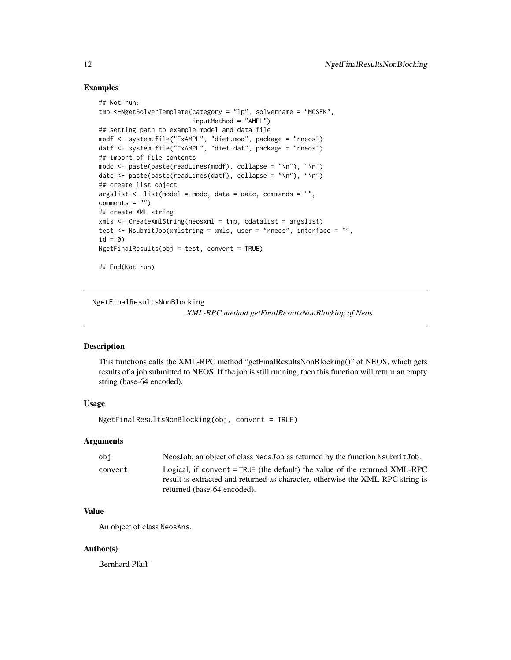#### Examples

```
## Not run:
tmp <-NgetSolverTemplate(category = "lp", solvername = "MOSEK",
                         inputMethod = "AMPL")
## setting path to example model and data file
modf <- system.file("ExAMPL", "diet.mod", package = "rneos")
datf <- system.file("ExAMPL", "diet.dat", package = "rneos")
## import of file contents
modc <- paste(paste(readLines(modf), collapse = "\n"), "\n")
datc \leq paste(paste(readLines(datf), collapse = "\n"), "\n")
## create list object
argslist \leftarrow list(model = mode, data = date, commands = "",comments = ")
## create XML string
xmls <- CreateXmlString(neosxml = tmp, cdatalist = argslist)
test <- NsubmitJob(xmlstring = xmls, user = "rneos", interface = "",
id = 0NgetFinalResults(obj = test, convert = TRUE)
## End(Not run)
```
NgetFinalResultsNonBlocking

*XML-RPC method getFinalResultsNonBlocking of Neos*

### Description

This functions calls the XML-RPC method "getFinalResultsNonBlocking()" of NEOS, which gets results of a job submitted to NEOS. If the job is still running, then this function will return an empty string (base-64 encoded).

### Usage

NgetFinalResultsNonBlocking(obj, convert = TRUE)

#### Arguments

| obi     | NeosJob, an object of class NeosJob as returned by the function Nsubmit Job.                                                                                                                  |
|---------|-----------------------------------------------------------------------------------------------------------------------------------------------------------------------------------------------|
| convert | Logical, if convert = $TRUE$ (the default) the value of the returned XML-RPC<br>result is extracted and returned as character, otherwise the XML-RPC string is<br>returned (base-64 encoded). |
|         |                                                                                                                                                                                               |

### Value

An object of class NeosAns.

#### Author(s)

Bernhard Pfaff

<span id="page-11-0"></span>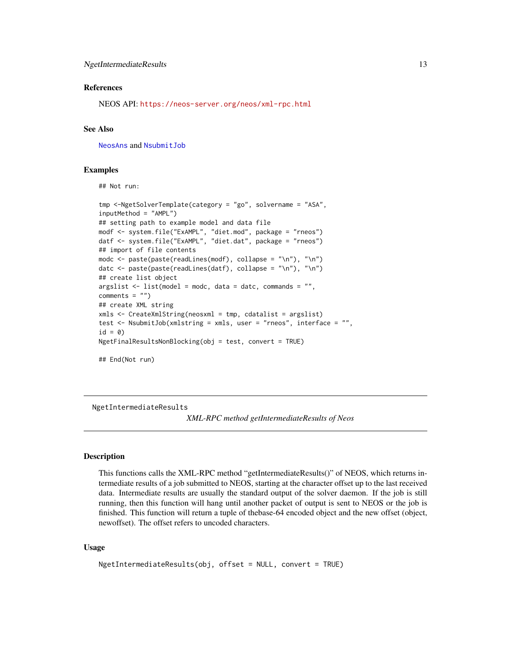#### <span id="page-12-0"></span>References

NEOS API: <https://neos-server.org/neos/xml-rpc.html>

#### See Also

[NeosAns](#page-5-1) and [NsubmitJob](#page-25-1)

#### Examples

## Not run:

```
tmp <-NgetSolverTemplate(category = "go", solvername = "ASA",
inputMethod = "AMPL")
## setting path to example model and data file
modf <- system.file("ExAMPL", "diet.mod", package = "rneos")
datf <- system.file("ExAMPL", "diet.dat", package = "rneos")
## import of file contents
modc <- paste(paste(readLines(modf), collapse = "\n"), "\n")
datc <- paste(paste(readLines(datf), collapse = "\n"), "\n")
## create list object
argslist \leftarrow list(model = mode, data = date, commands = "",comments = ")
## create XML string
xmls <- CreateXmlString(neosxml = tmp, cdatalist = argslist)
test <- NsubmitJob(xmlstring = xmls, user = "rneos", interface = "",
id = 0NgetFinalResultsNonBlocking(obj = test, convert = TRUE)
```
## End(Not run)

NgetIntermediateResults

*XML-RPC method getIntermediateResults of Neos*

#### Description

This functions calls the XML-RPC method "getIntermediateResults()" of NEOS, which returns intermediate results of a job submitted to NEOS, starting at the character offset up to the last received data. Intermediate results are usually the standard output of the solver daemon. If the job is still running, then this function will hang until another packet of output is sent to NEOS or the job is finished. This function will return a tuple of thebase-64 encoded object and the new offset (object, newoffset). The offset refers to uncoded characters.

#### Usage

```
NgetIntermediateResults(obj, offset = NULL, convert = TRUE)
```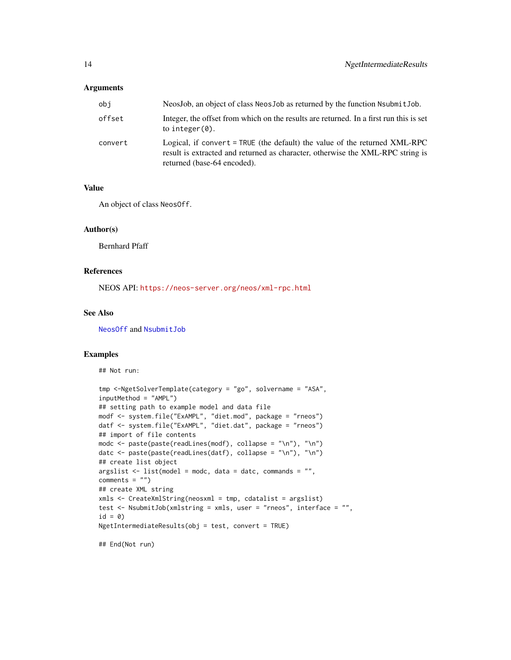#### <span id="page-13-0"></span>Arguments

| obi     | NeosJob, an object of class NeosJob as returned by the function NsubmitJob.                                                                                                                     |
|---------|-------------------------------------------------------------------------------------------------------------------------------------------------------------------------------------------------|
| offset  | Integer, the offset from which on the results are returned. In a first run this is set<br>to integer $(0)$ .                                                                                    |
| convert | Logical, if convert = $TRUE$ (the default) the value of the returned $XML-RPC$<br>result is extracted and returned as character, otherwise the XML-RPC string is<br>returned (base-64 encoded). |

#### Value

An object of class NeosOff.

### Author(s)

Bernhard Pfaff

### References

NEOS API: <https://neos-server.org/neos/xml-rpc.html>

### See Also

[NeosOff](#page-8-1) and [NsubmitJob](#page-25-1)

### Examples

## Not run:

```
tmp <-NgetSolverTemplate(category = "go", solvername = "ASA",
inputMethod = "AMPL")
## setting path to example model and data file
modf <- system.file("ExAMPL", "diet.mod", package = "rneos")
datf <- system.file("ExAMPL", "diet.dat", package = "rneos")
## import of file contents
modc <- paste(paste(readLines(modf), collapse = "\n"), "\n")
datc <- paste(paste(readLines(datf), collapse = "\n"), "\n")
## create list object
argslist <- list(model = modc, data = datc, commands = "",
comments = "")## create XML string
xmls <- CreateXmlString(neosxml = tmp, cdatalist = argslist)
test <- NsubmitJob(xmlstring = xmls, user = "rneos", interface = "",
id = 0)NgetIntermediateResults(obj = test, convert = TRUE)
```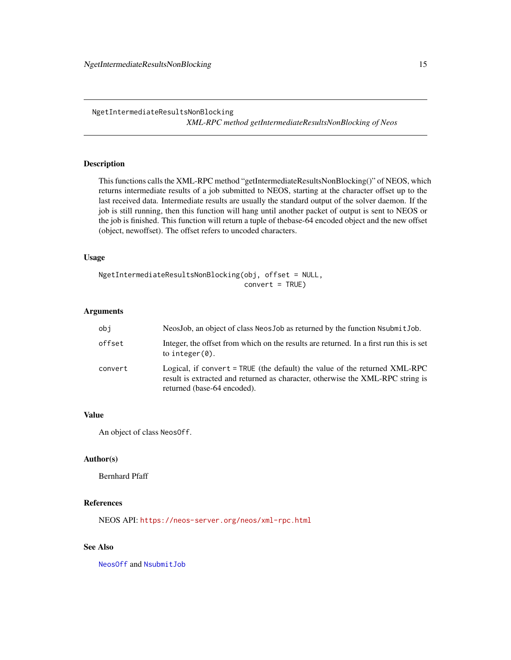<span id="page-14-0"></span>NgetIntermediateResultsNonBlocking

*XML-RPC method getIntermediateResultsNonBlocking of Neos*

### Description

This functions calls the XML-RPC method "getIntermediateResultsNonBlocking()" of NEOS, which returns intermediate results of a job submitted to NEOS, starting at the character offset up to the last received data. Intermediate results are usually the standard output of the solver daemon. If the job is still running, then this function will hang until another packet of output is sent to NEOS or the job is finished. This function will return a tuple of thebase-64 encoded object and the new offset (object, newoffset). The offset refers to uncoded characters.

#### Usage

NgetIntermediateResultsNonBlocking(obj, offset = NULL, convert = TRUE)

#### Arguments

| obj     | NeosJob, an object of class NeosJob as returned by the function Nsubmit Job.                                                                                                                |
|---------|---------------------------------------------------------------------------------------------------------------------------------------------------------------------------------------------|
| offset  | Integer, the offset from which on the results are returned. In a first run this is set<br>to integer $(0)$ .                                                                                |
| convert | Logical, if convert = TRUE (the default) the value of the returned XML-RPC<br>result is extracted and returned as character, otherwise the XML-RPC string is<br>returned (base-64 encoded). |

#### Value

An object of class NeosOff.

#### Author(s)

Bernhard Pfaff

#### References

NEOS API: <https://neos-server.org/neos/xml-rpc.html>

### See Also

[NeosOff](#page-8-1) and [NsubmitJob](#page-25-1)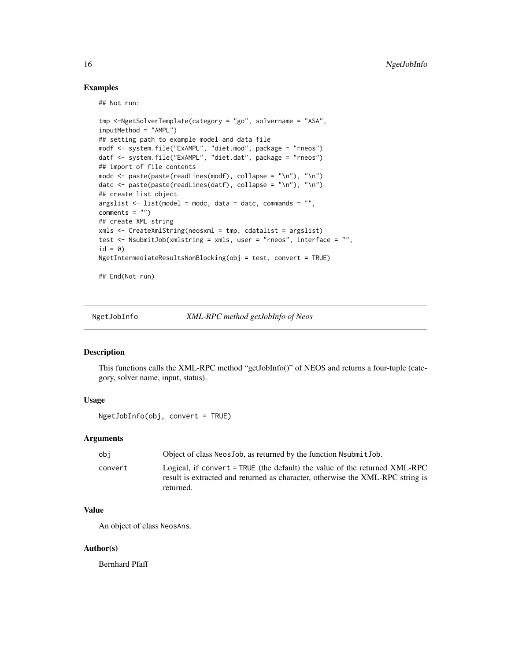### Examples

## Not run:

```
tmp <-NgetSolverTemplate(category = "go", solvername = "ASA",
inputMethod = "AMPL")
## setting path to example model and data file
modf <- system.file("ExAMPL", "diet.mod", package = "rneos")
datf <- system.file("ExAMPL", "diet.dat", package = "rneos")
## import of file contents
modc <- paste(paste(readLines(modf), collapse = "\n"), "\n")
datc <- paste(paste(readLines(datf), collapse = "\n"), "\n")
## create list object
argslist \leftarrow list(model = mode, data = date, commands = "",comments = ")
## create XML string
xmls <- CreateXmlString(neosxml = tmp, cdatalist = argslist)
test <- NsubmitJob(xmlstring = xmls, user = "rneos", interface = "",
id = 0NgetIntermediateResultsNonBlocking(obj = test, convert = TRUE)
```
## End(Not run)

NgetJobInfo *XML-RPC method getJobInfo of Neos*

### Description

This functions calls the XML-RPC method "getJobInfo()" of NEOS and returns a four-tuple (category, solver name, input, status).

#### Usage

```
NgetJobInfo(obj, convert = TRUE)
```
#### Arguments

| obi     | Object of class Neos Job, as returned by the function Nsubmit Job.                                                                                                        |
|---------|---------------------------------------------------------------------------------------------------------------------------------------------------------------------------|
| convert | Logical, if convert = TRUE (the default) the value of the returned XML-RPC<br>result is extracted and returned as character, otherwise the XML-RPC string is<br>returned. |

#### Value

An object of class NeosAns.

#### Author(s)

Bernhard Pfaff

<span id="page-15-0"></span>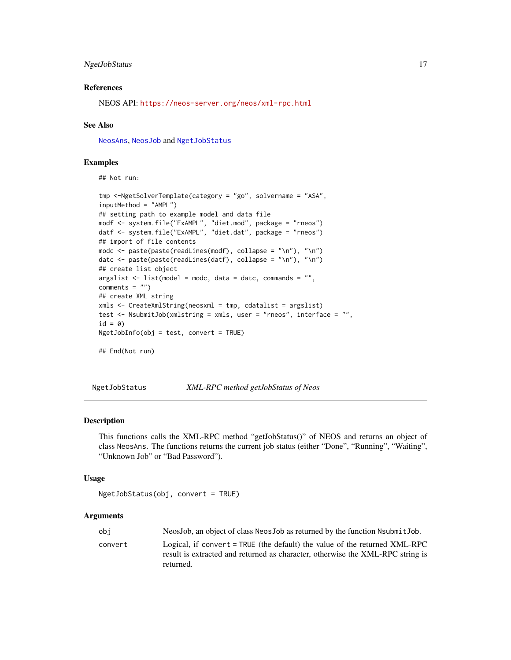#### <span id="page-16-0"></span>NgetJobStatus 17

#### References

NEOS API: <https://neos-server.org/neos/xml-rpc.html>

#### See Also

[NeosAns](#page-5-1), [NeosJob](#page-7-1) and [NgetJobStatus](#page-16-1)

#### Examples

## Not run:

```
tmp <-NgetSolverTemplate(category = "go", solvername = "ASA",
inputMethod = "AMPL")
## setting path to example model and data file
modf <- system.file("ExAMPL", "diet.mod", package = "rneos")
datf <- system.file("ExAMPL", "diet.dat", package = "rneos")
## import of file contents
modc <- paste(paste(readLines(modf), collapse = "\n"), "\n")
datc \leq paste(paste(readLines(datf), collapse = "\n"), "\n")
## create list object
argslist \leftarrow list(model = mode, data = date, commands = "",comments = "")## create XML string
xmls <- CreateXmlString(neosxml = tmp, cdatalist = argslist)
test <- NsubmitJob(xmlstring = xmls, user = "rneos", interface = "",
id = 0NgetJobInfo(obj = test, convert = TRUE)
## End(Not run)
```
<span id="page-16-1"></span>NgetJobStatus *XML-RPC method getJobStatus of Neos*

#### **Description**

This functions calls the XML-RPC method "getJobStatus()" of NEOS and returns an object of class NeosAns. The functions returns the current job status (either "Done", "Running", "Waiting", "Unknown Job" or "Bad Password").

#### Usage

```
NgetJobStatus(obj, convert = TRUE)
```
#### Arguments

| obi     | NeosJob, an object of class NeosJob as returned by the function NsubmitJob.                                                                                  |
|---------|--------------------------------------------------------------------------------------------------------------------------------------------------------------|
| convert | Logical, if convert = TRUE (the default) the value of the returned XML-RPC<br>result is extracted and returned as character, otherwise the XML-RPC string is |
|         | returned.                                                                                                                                                    |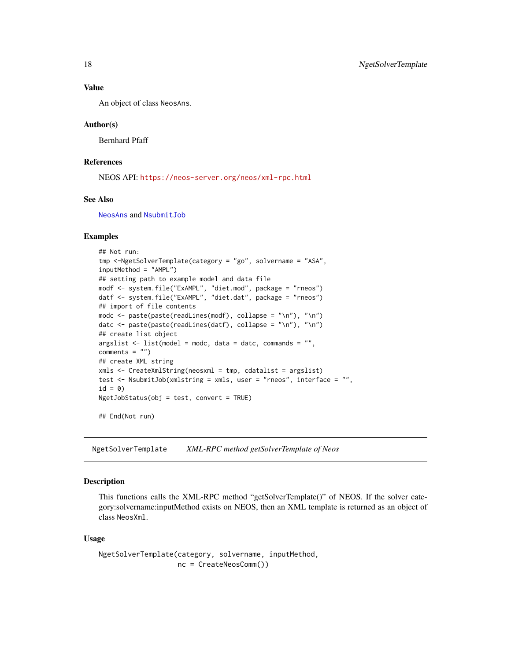#### Value

An object of class NeosAns.

#### Author(s)

Bernhard Pfaff

#### References

NEOS API: <https://neos-server.org/neos/xml-rpc.html>

#### See Also

[NeosAns](#page-5-1) and [NsubmitJob](#page-25-1)

#### Examples

```
## Not run:
tmp <-NgetSolverTemplate(category = "go", solvername = "ASA",
inputMethod = "AMPL")
## setting path to example model and data file
modf <- system.file("ExAMPL", "diet.mod", package = "rneos")
datf <- system.file("ExAMPL", "diet.dat", package = "rneos")
## import of file contents
modc <- paste(paste(readLines(modf), collapse = "\n"), "\n")
datc <- paste(paste(readLines(datf), collapse = "\n"), "\n")
## create list object
argslist \leftarrow list(model = mode, data = date, commands = "",comments = "")## create XML string
xmls <- CreateXmlString(neosxml = tmp, cdatalist = argslist)
test <- NsubmitJob(xmlstring = xmls, user = "rneos", interface = "",
id = 0)NgetJobStatus(obj = test, convert = TRUE)
## End(Not run)
```
<span id="page-17-1"></span>NgetSolverTemplate *XML-RPC method getSolverTemplate of Neos*

#### Description

This functions calls the XML-RPC method "getSolverTemplate()" of NEOS. If the solver category:solvername:inputMethod exists on NEOS, then an XML template is returned as an object of class NeosXml.

#### Usage

```
NgetSolverTemplate(category, solvername, inputMethod,
                  nc = CreateNeosComm())
```
<span id="page-17-0"></span>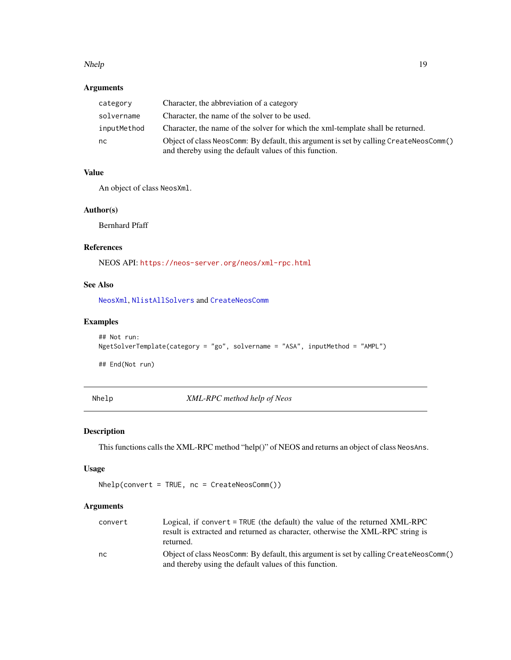#### <span id="page-18-0"></span>Nhelp 2008 2012 2022 2023 2024 2022 2022 2023 2024 2022 2023 2024 2022 2023 2024 2022 2023 2024 2022 2023 2024

### Arguments

| category    | Character, the abbreviation of a category                                                                                                        |
|-------------|--------------------------------------------------------------------------------------------------------------------------------------------------|
| solvername  | Character, the name of the solver to be used.                                                                                                    |
| inputMethod | Character, the name of the solver for which the xml-template shall be returned.                                                                  |
| nc.         | Object of class NeosComm: By default, this argument is set by calling CreateNeosComm()<br>and thereby using the default values of this function. |

### Value

An object of class NeosXml.

### Author(s)

Bernhard Pfaff

### References

NEOS API: <https://neos-server.org/neos/xml-rpc.html>

### See Also

[NeosXml](#page-9-1), [NlistAllSolvers](#page-20-1) and [CreateNeosComm](#page-1-1)

### Examples

```
## Not run:
NgetSolverTemplate(category = "go", solvername = "ASA", inputMethod = "AMPL")
## End(Not run)
```
Nhelp *XML-RPC method help of Neos*

### Description

This functions calls the XML-RPC method "help()" of NEOS and returns an object of class NeosAns.

### Usage

Nhelp(convert = TRUE, nc = CreateNeosComm())

### Arguments

| convert | Logical, if convert = TRUE (the default) the value of the returned XML-RPC             |
|---------|----------------------------------------------------------------------------------------|
|         | result is extracted and returned as character, otherwise the XML-RPC string is         |
|         | returned.                                                                              |
| nc      | Object of class NeosComm: By default, this argument is set by calling CreateNeosComm() |
|         | and thereby using the default values of this function.                                 |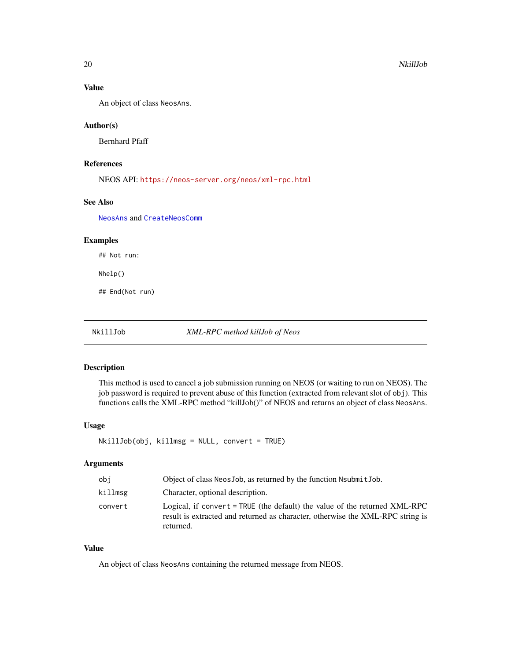### <span id="page-19-0"></span>Value

An object of class NeosAns.

#### Author(s)

Bernhard Pfaff

### References

NEOS API: <https://neos-server.org/neos/xml-rpc.html>

### See Also

[NeosAns](#page-5-1) and [CreateNeosComm](#page-1-1)

### Examples

## Not run:

Nhelp()

## End(Not run)

NkillJob *XML-RPC method killJob of Neos*

#### Description

This method is used to cancel a job submission running on NEOS (or waiting to run on NEOS). The job password is required to prevent abuse of this function (extracted from relevant slot of obj). This functions calls the XML-RPC method "killJob()" of NEOS and returns an object of class NeosAns.

#### Usage

NkillJob(obj, killmsg = NULL, convert = TRUE)

### Arguments

| obi     | Object of class NeosJob, as returned by the function NsubmitJob.                                                                                                          |
|---------|---------------------------------------------------------------------------------------------------------------------------------------------------------------------------|
| killmsg | Character, optional description.                                                                                                                                          |
| convert | Logical, if convert = TRUE (the default) the value of the returned XML-RPC<br>result is extracted and returned as character, otherwise the XML-RPC string is<br>returned. |

### Value

An object of class NeosAns containing the returned message from NEOS.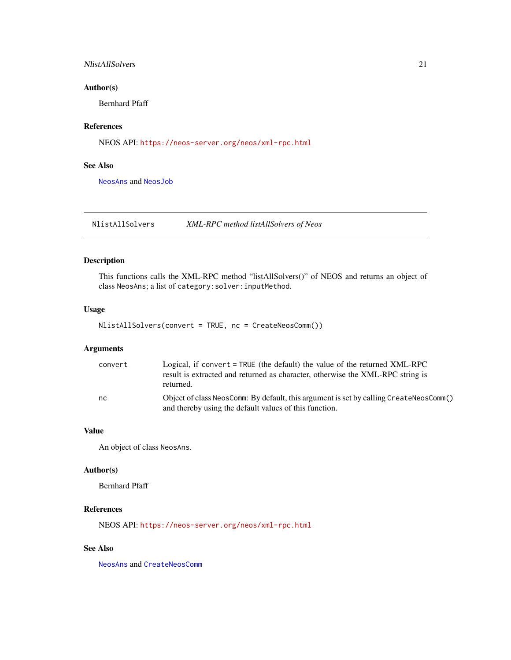### <span id="page-20-0"></span>NlistAllSolvers 21

### Author(s)

Bernhard Pfaff

### References

NEOS API: <https://neos-server.org/neos/xml-rpc.html>

### See Also

[NeosAns](#page-5-1) and [NeosJob](#page-7-1)

<span id="page-20-1"></span>NlistAllSolvers *XML-RPC method listAllSolvers of Neos*

### Description

This functions calls the XML-RPC method "listAllSolvers()" of NEOS and returns an object of class NeosAns; a list of category:solver:inputMethod.

### Usage

```
NlistAllSolvers(convert = TRUE, nc = CreateNeosComm())
```
### Arguments

| convert | Logical, if convert = TRUE (the default) the value of the returned XML-RPC             |
|---------|----------------------------------------------------------------------------------------|
|         | result is extracted and returned as character, otherwise the XML-RPC string is         |
|         | returned.                                                                              |
| nc      | Object of class NeosComm: By default, this argument is set by calling CreateNeosComm() |
|         | and thereby using the default values of this function.                                 |

#### Value

An object of class NeosAns.

#### Author(s)

Bernhard Pfaff

### References

NEOS API: <https://neos-server.org/neos/xml-rpc.html>

### See Also

[NeosAns](#page-5-1) and [CreateNeosComm](#page-1-1)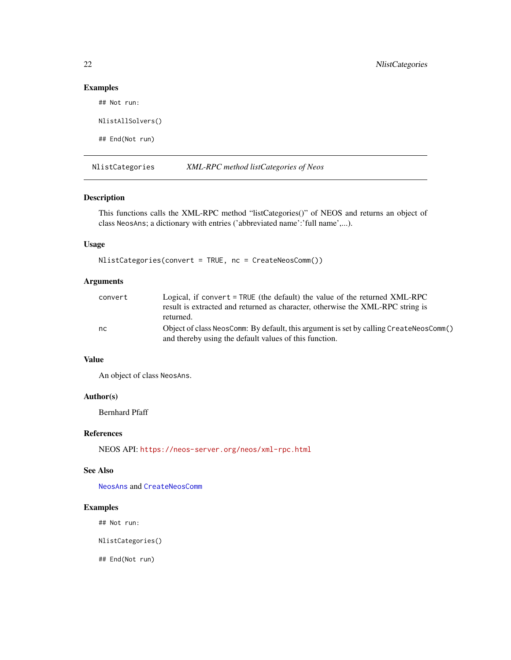### Examples

## Not run:

```
NlistAllSolvers()
```
## End(Not run)

<span id="page-21-1"></span>NlistCategories *XML-RPC method listCategories of Neos*

### Description

This functions calls the XML-RPC method "listCategories()" of NEOS and returns an object of class NeosAns; a dictionary with entries ('abbreviated name':'full name',...).

### Usage

```
NlistCategories(convert = TRUE, nc = CreateNeosComm())
```
### Arguments

| convert | Logical, if convert $=$ TRUE (the default) the value of the returned XML-RPC           |
|---------|----------------------------------------------------------------------------------------|
|         | result is extracted and returned as character, otherwise the XML-RPC string is         |
|         | returned.                                                                              |
| nc      | Object of class NeosComm: By default, this argument is set by calling CreateNeosComm() |
|         | and thereby using the default values of this function.                                 |

### Value

An object of class NeosAns.

### Author(s)

Bernhard Pfaff

#### References

NEOS API: <https://neos-server.org/neos/xml-rpc.html>

### See Also

[NeosAns](#page-5-1) and [CreateNeosComm](#page-1-1)

### Examples

## Not run:

NlistCategories()

<span id="page-21-0"></span>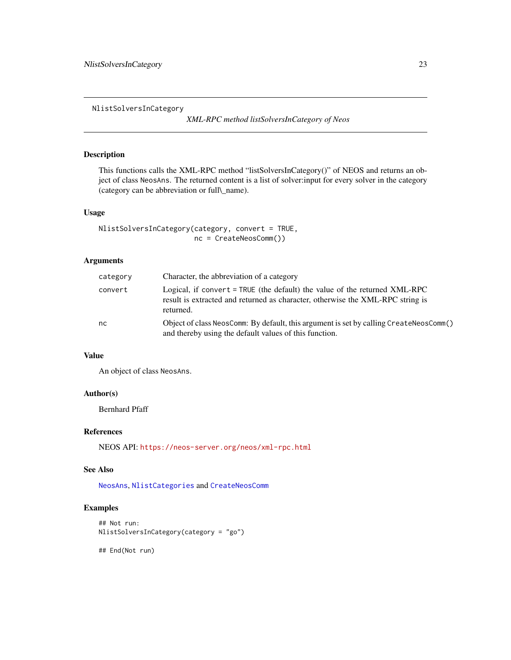<span id="page-22-0"></span>NlistSolversInCategory

*XML-RPC method listSolversInCategory of Neos*

### Description

This functions calls the XML-RPC method "listSolversInCategory()" of NEOS and returns an object of class NeosAns. The returned content is a list of solver:input for every solver in the category (category can be abbreviation or full\\_name).

#### Usage

```
NlistSolversInCategory(category, convert = TRUE,
                       nc = CreateNeosComm())
```
### Arguments

| category | Character, the abbreviation of a category                                                                                                                                   |
|----------|-----------------------------------------------------------------------------------------------------------------------------------------------------------------------------|
| convert  | Logical, if convert $=$ TRUE (the default) the value of the returned XML-RPC<br>result is extracted and returned as character, otherwise the XML-RPC string is<br>returned. |
| nc       | Object of class NeosComm: By default, this argument is set by calling CreateNeosComm()<br>and thereby using the default values of this function.                            |

#### Value

An object of class NeosAns.

### Author(s)

Bernhard Pfaff

### References

NEOS API: <https://neos-server.org/neos/xml-rpc.html>

#### See Also

[NeosAns](#page-5-1), [NlistCategories](#page-21-1) and [CreateNeosComm](#page-1-1)

### Examples

```
## Not run:
NlistSolversInCategory(category = "go")
```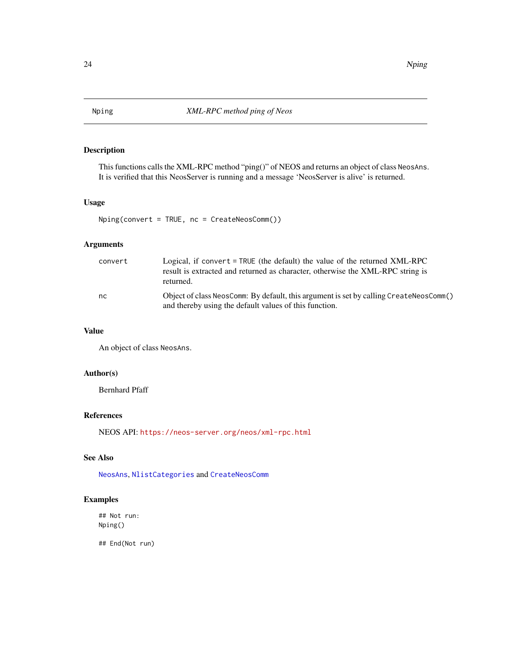<span id="page-23-0"></span>

This functions calls the XML-RPC method "ping()" of NEOS and returns an object of class NeosAns. It is verified that this NeosServer is running and a message 'NeosServer is alive' is returned.

### Usage

Nping(convert = TRUE, nc = CreateNeosComm())

### Arguments

| convert | Logical, if convert = TRUE (the default) the value of the returned XML-RPC<br>result is extracted and returned as character, otherwise the XML-RPC string is<br>returned. |
|---------|---------------------------------------------------------------------------------------------------------------------------------------------------------------------------|
| nc      | Object of class NeosComm: By default, this argument is set by calling CreateNeosComm()<br>and thereby using the default values of this function.                          |

### Value

An object of class NeosAns.

### Author(s)

Bernhard Pfaff

#### References

NEOS API: <https://neos-server.org/neos/xml-rpc.html>

#### See Also

[NeosAns](#page-5-1), [NlistCategories](#page-21-1) and [CreateNeosComm](#page-1-1)

### Examples

## Not run: Nping()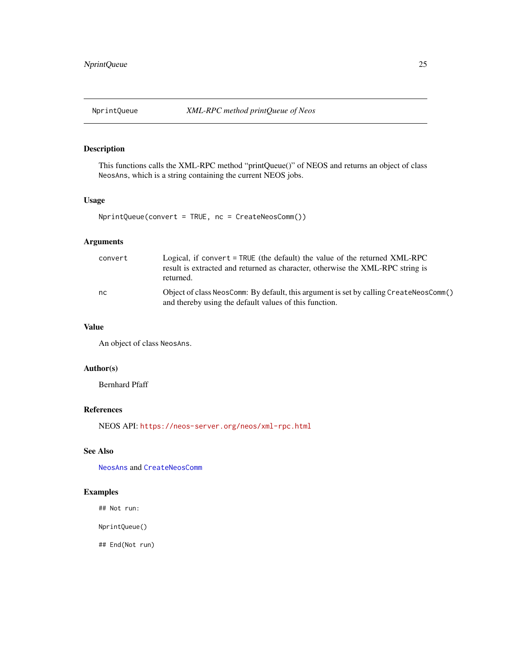<span id="page-24-0"></span>

This functions calls the XML-RPC method "printQueue()" of NEOS and returns an object of class NeosAns, which is a string containing the current NEOS jobs.

### Usage

```
NprintQueue(convert = TRUE, nc = CreateNeosComm())
```
### Arguments

| convert | Logical, if convert = TRUE (the default) the value of the returned XML-RPC<br>result is extracted and returned as character, otherwise the XML-RPC string is<br>returned. |
|---------|---------------------------------------------------------------------------------------------------------------------------------------------------------------------------|
| nc.     | Object of class NeosComm: By default, this argument is set by calling CreateNeosComm()<br>and thereby using the default values of this function.                          |

#### Value

An object of class NeosAns.

### Author(s)

Bernhard Pfaff

### References

NEOS API: <https://neos-server.org/neos/xml-rpc.html>

### See Also

[NeosAns](#page-5-1) and [CreateNeosComm](#page-1-1)

### Examples

## Not run:

NprintQueue()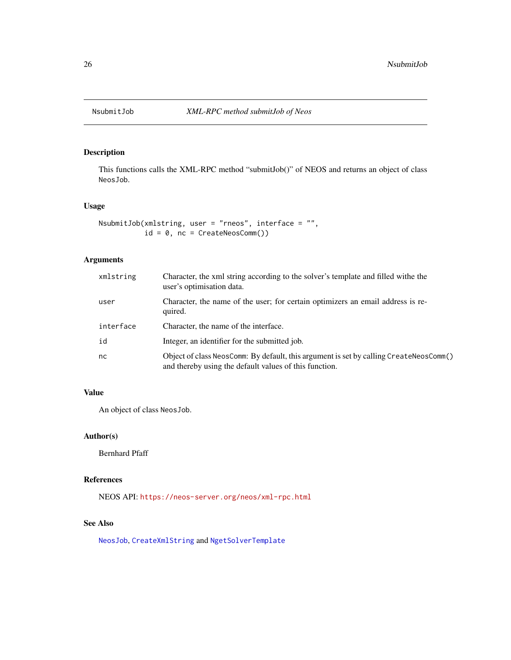<span id="page-25-1"></span><span id="page-25-0"></span>

This functions calls the XML-RPC method "submitJob()" of NEOS and returns an object of class NeosJob.

### Usage

```
NsubmitJob(xmlstring, user = "rneos", interface = "",
           id = 0, nc = CreateNeosComm())
```
### Arguments

| xmlstring | Character, the xml string according to the solver's template and filled withe the<br>user's optimisation data.                                   |
|-----------|--------------------------------------------------------------------------------------------------------------------------------------------------|
| user      | Character, the name of the user; for certain optimizers an email address is re-<br>quired.                                                       |
| interface | Character, the name of the interface.                                                                                                            |
| id        | Integer, an identifier for the submitted job.                                                                                                    |
| nc.       | Object of class NeosComm: By default, this argument is set by calling CreateNeosComm()<br>and thereby using the default values of this function. |

### Value

An object of class NeosJob.

### Author(s)

Bernhard Pfaff

### References

NEOS API: <https://neos-server.org/neos/xml-rpc.html>

#### See Also

[NeosJob](#page-7-1), [CreateXmlString](#page-2-1) and [NgetSolverTemplate](#page-17-1)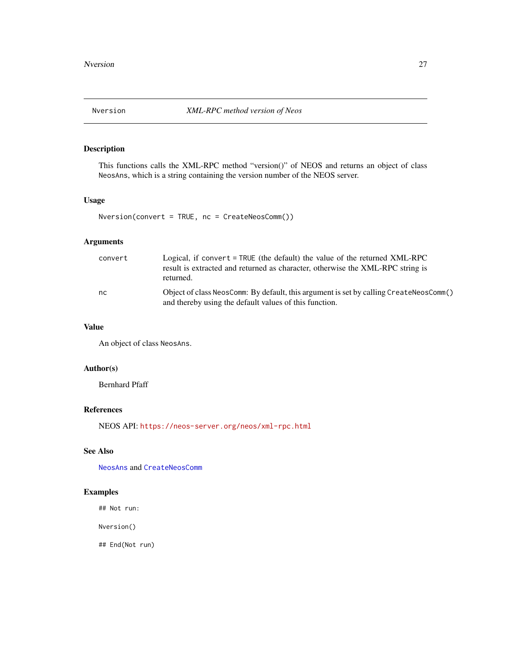<span id="page-26-0"></span>This functions calls the XML-RPC method "version()" of NEOS and returns an object of class NeosAns, which is a string containing the version number of the NEOS server.

### Usage

```
Nversion(convert = TRUE, nc = CreateNeosComm())
```
### Arguments

| convert | Logical, if convert $=$ TRUE (the default) the value of the returned XML-RPC<br>result is extracted and returned as character, otherwise the XML-RPC string is<br>returned. |
|---------|-----------------------------------------------------------------------------------------------------------------------------------------------------------------------------|
| nc.     | Object of class NeosComm: By default, this argument is set by calling CreateNeosComm()<br>and thereby using the default values of this function.                            |

#### Value

An object of class NeosAns.

### Author(s)

Bernhard Pfaff

### References

NEOS API: <https://neos-server.org/neos/xml-rpc.html>

### See Also

[NeosAns](#page-5-1) and [CreateNeosComm](#page-1-1)

### Examples

## Not run:

Nversion()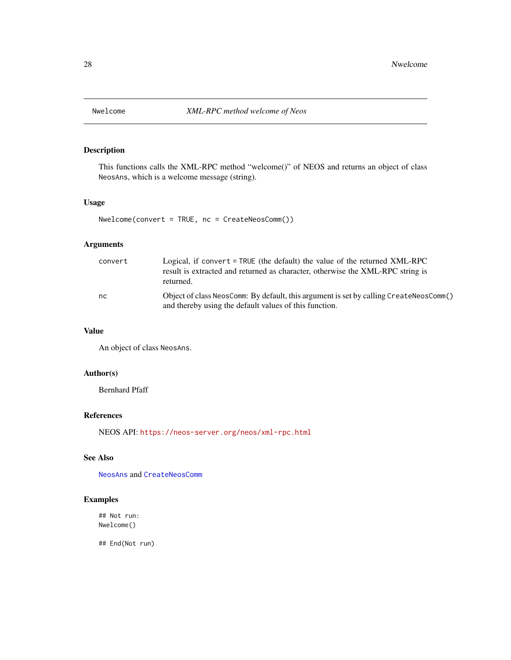<span id="page-27-0"></span>

This functions calls the XML-RPC method "welcome()" of NEOS and returns an object of class NeosAns, which is a welcome message (string).

### Usage

Nwelcome(convert = TRUE, nc = CreateNeosComm())

### Arguments

| convert | Logical, if convert = TRUE (the default) the value of the returned XML-RPC<br>result is extracted and returned as character, otherwise the XML-RPC string is<br>returned. |
|---------|---------------------------------------------------------------------------------------------------------------------------------------------------------------------------|
| nc      | Object of class NeosComm: By default, this argument is set by calling CreateNeosComm()<br>and thereby using the default values of this function.                          |

### Value

An object of class NeosAns.

### Author(s)

Bernhard Pfaff

#### References

NEOS API: <https://neos-server.org/neos/xml-rpc.html>

### See Also

[NeosAns](#page-5-1) and [CreateNeosComm](#page-1-1)

### Examples

## Not run: Nwelcome()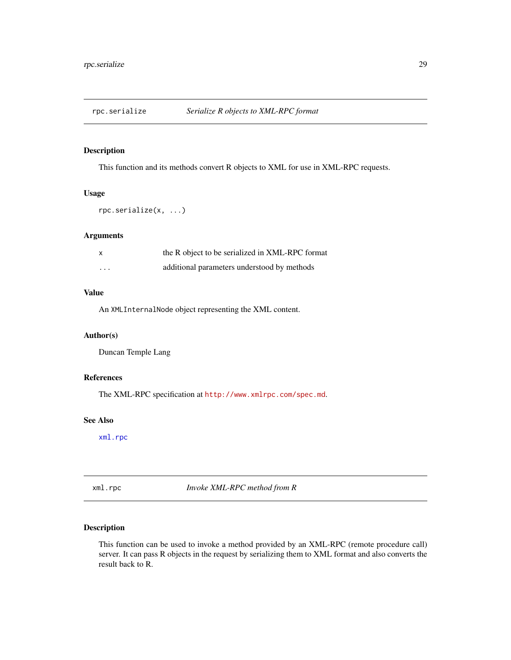<span id="page-28-0"></span>

This function and its methods convert R objects to XML for use in XML-RPC requests.

#### Usage

```
rpc.serialize(x, ...)
```
#### Arguments

| X        | the R object to be serialized in XML-RPC format |
|----------|-------------------------------------------------|
| $\cdots$ | additional parameters understood by methods     |

### Value

An XMLInternalNode object representing the XML content.

### Author(s)

Duncan Temple Lang

### References

The XML-RPC specification at <http://www.xmlrpc.com/spec.md>.

#### See Also

[xml.rpc](#page-28-1)

<span id="page-28-1"></span>xml.rpc *Invoke XML-RPC method from R*

### Description

This function can be used to invoke a method provided by an XML-RPC (remote procedure call) server. It can pass R objects in the request by serializing them to XML format and also converts the result back to R.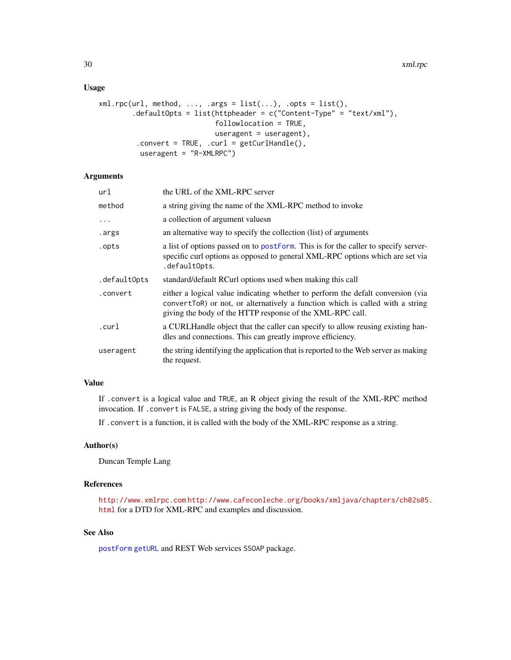#### <span id="page-29-0"></span>Usage

```
xml.rpc(url, method, ..., args = list(...), opts = list(),.defaultOpts = list(httpheader = c("Content-Type" = "text/xml"),
                            followlocation = TRUE,
                           useragent = useragent),
         .convert = TRUE, .curl = getCurlHandle(),
         useragent = "R-XMLRPC")
```
#### Arguments

| url          | the URL of the XML-RPC server                                                                                                                                                                                                  |
|--------------|--------------------------------------------------------------------------------------------------------------------------------------------------------------------------------------------------------------------------------|
| method       | a string giving the name of the XML-RPC method to invoke                                                                                                                                                                       |
| $\ddotsc$    | a collection of argument values n                                                                                                                                                                                              |
| .args        | an alternative way to specify the collection (list) of arguments                                                                                                                                                               |
| .opts        | a list of options passed on to postForm. This is for the caller to specify server-<br>specific curl options as opposed to general XML-RPC options which are set via<br>.defaultOpts.                                           |
| .defaultOpts | standard/default RCurl options used when making this call                                                                                                                                                                      |
| .convert     | either a logical value indicating whether to perform the defailt conversion (via<br>convertToR) or not, or alternatively a function which is called with a string<br>giving the body of the HTTP response of the XML-RPC call. |
| .curl        | a CURLHandle object that the caller can specify to allow reusing existing han-<br>dles and connections. This can greatly improve efficiency.                                                                                   |
| useragent    | the string identifying the application that is reported to the Web server as making<br>the request.                                                                                                                            |

#### Value

If .convert is a logical value and TRUE, an R object giving the result of the XML-RPC method invocation. If .convert is FALSE, a string giving the body of the response.

If .convert is a function, it is called with the body of the XML-RPC response as a string.

### Author(s)

Duncan Temple Lang

#### References

<http://www.xmlrpc.com> [http://www.cafeconleche.org/books/xmljava/chapters/ch02s05](http://www.cafeconleche.org/books/xmljava/chapters/ch02s05.html). [html](http://www.cafeconleche.org/books/xmljava/chapters/ch02s05.html) for a DTD for XML-RPC and examples and discussion.

### See Also

[postForm](#page-0-0) [getURL](#page-0-0) and REST Web services SSOAP package.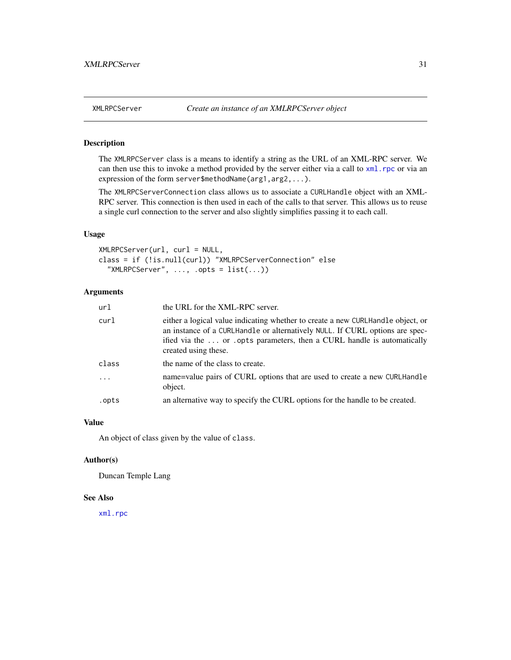<span id="page-30-0"></span>

The XMLRPCServer class is a means to identify a string as the URL of an XML-RPC server. We can then use this to invoke a method provided by the server either via a call to  $xml$ .rpc or via an expression of the form server\$methodName(arg1,arg2,...).

The XMLRPCServerConnection class allows us to associate a CURLHandle object with an XML-RPC server. This connection is then used in each of the calls to that server. This allows us to reuse a single curl connection to the server and also slightly simplifies passing it to each call.

### Usage

XMLRPCServer(url, curl = NULL, class = if (!is.null(curl)) "XMLRPCServerConnection" else "XMLRPCServer",  $\ldots$ , .opts =  $list(\ldots))$ 

### Arguments

| url      | the URL for the XML-RPC server.                                                                                                                                                                                                                                   |
|----------|-------------------------------------------------------------------------------------------------------------------------------------------------------------------------------------------------------------------------------------------------------------------|
| curl     | either a logical value indicating whether to create a new CURLHandle object, or<br>an instance of a CURLHandle or alternatively NULL. If CURL options are spec-<br>ified via the  or opts parameters, then a CURL handle is automatically<br>created using these. |
| class    | the name of the class to create.                                                                                                                                                                                                                                  |
| $\cdots$ | name=value pairs of CURL options that are used to create a new CURLHandle<br>object.                                                                                                                                                                              |
| .opts    | an alternative way to specify the CURL options for the handle to be created.                                                                                                                                                                                      |

### Value

An object of class given by the value of class.

#### Author(s)

Duncan Temple Lang

#### See Also

[xml.rpc](#page-28-1)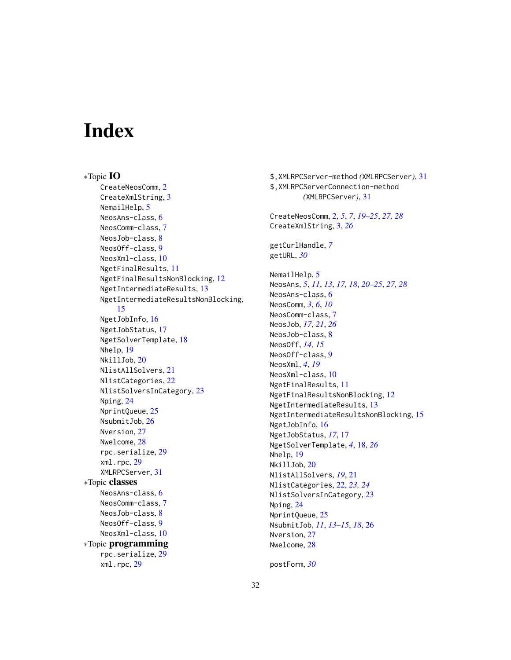# <span id="page-31-0"></span>**Index**

∗Topic IO CreateNeosComm, [2](#page-1-0) CreateXmlString, [3](#page-2-0) NemailHelp, [5](#page-4-0) NeosAns-class, [6](#page-5-0) NeosComm-class, [7](#page-6-0) NeosJob-class, [8](#page-7-0) NeosOff-class, [9](#page-8-0) NeosXml-class, [10](#page-9-0) NgetFinalResults, [11](#page-10-0) NgetFinalResultsNonBlocking, [12](#page-11-0) NgetIntermediateResults, [13](#page-12-0) NgetIntermediateResultsNonBlocking, [15](#page-14-0) NgetJobInfo, [16](#page-15-0) NgetJobStatus, [17](#page-16-0) NgetSolverTemplate, [18](#page-17-0) Nhelp, [19](#page-18-0) NkillJob, [20](#page-19-0) NlistAllSolvers, [21](#page-20-0) NlistCategories, [22](#page-21-0) NlistSolversInCategory, [23](#page-22-0) Nping, [24](#page-23-0) NprintQueue, [25](#page-24-0) NsubmitJob, [26](#page-25-0) Nversion, [27](#page-26-0) Nwelcome, [28](#page-27-0) rpc.serialize, [29](#page-28-0) xml.rpc, [29](#page-28-0) XMLRPCServer, [31](#page-30-0) ∗Topic classes NeosAns-class, [6](#page-5-0) NeosComm-class, [7](#page-6-0) NeosJob-class, [8](#page-7-0) NeosOff-class, [9](#page-8-0) NeosXml-class, [10](#page-9-0) ∗Topic programming rpc.serialize, [29](#page-28-0) xml.rpc, [29](#page-28-0)

\$,XMLRPCServer-method *(*XMLRPCServer*)*, [31](#page-30-0) \$,XMLRPCServerConnection-method *(*XMLRPCServer*)*, [31](#page-30-0) CreateNeosComm, [2,](#page-1-0) *[5](#page-4-0)*, *[7](#page-6-0)*, *[19](#page-18-0)[–25](#page-24-0)*, *[27,](#page-26-0) [28](#page-27-0)* CreateXmlString, [3,](#page-2-0) *[26](#page-25-0)* getCurlHandle, *[7](#page-6-0)* getURL, *[30](#page-29-0)* NemailHelp, [5](#page-4-0) NeosAns, *[5](#page-4-0)*, *[11](#page-10-0)*, *[13](#page-12-0)*, *[17,](#page-16-0) [18](#page-17-0)*, *[20](#page-19-0)[–25](#page-24-0)*, *[27,](#page-26-0) [28](#page-27-0)* NeosAns-class, [6](#page-5-0) NeosComm, *[3](#page-2-0)*, *[6](#page-5-0)*, *[10](#page-9-0)* NeosComm-class, [7](#page-6-0) NeosJob, *[17](#page-16-0)*, *[21](#page-20-0)*, *[26](#page-25-0)* NeosJob-class, [8](#page-7-0) NeosOff, *[14,](#page-13-0) [15](#page-14-0)* NeosOff-class, [9](#page-8-0) NeosXml, *[4](#page-3-0)*, *[19](#page-18-0)* NeosXml-class, [10](#page-9-0) NgetFinalResults, [11](#page-10-0) NgetFinalResultsNonBlocking, [12](#page-11-0) NgetIntermediateResults, [13](#page-12-0) NgetIntermediateResultsNonBlocking, [15](#page-14-0) NgetJobInfo, [16](#page-15-0) NgetJobStatus, *[17](#page-16-0)*, [17](#page-16-0) NgetSolverTemplate, *[4](#page-3-0)*, [18,](#page-17-0) *[26](#page-25-0)* Nhelp, [19](#page-18-0) NkillJob, [20](#page-19-0) NlistAllSolvers, *[19](#page-18-0)*, [21](#page-20-0) NlistCategories, [22,](#page-21-0) *[23,](#page-22-0) [24](#page-23-0)* NlistSolversInCategory, [23](#page-22-0) Nping, [24](#page-23-0) NprintQueue, [25](#page-24-0) NsubmitJob, *[11](#page-10-0)*, *[13](#page-12-0)[–15](#page-14-0)*, *[18](#page-17-0)*, [26](#page-25-0) Nversion, [27](#page-26-0) Nwelcome, [28](#page-27-0)

postForm, *[30](#page-29-0)*